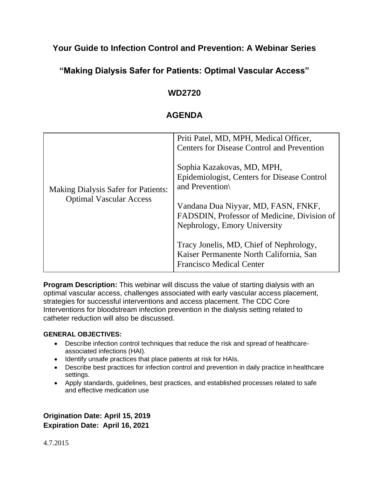# **Your Guide to Infection Control and Prevention: A Webinar Series**

# **"Making Dialysis Safer for Patients: Optimal Vascular Access"**

## **WD2720**

# **AGENDA**

| <b>Making Dialysis Safer for Patients:</b><br><b>Optimal Vascular Access</b> | Priti Patel, MD, MPH, Medical Officer,<br>Centers for Disease Control and Prevention                                  |
|------------------------------------------------------------------------------|-----------------------------------------------------------------------------------------------------------------------|
|                                                                              | Sophia Kazakovas, MD, MPH,<br>Epidemiologist, Centers for Disease Control<br>and Prevention                           |
|                                                                              | Vandana Dua Niyyar, MD, FASN, FNKF,<br>FADSDIN, Professor of Medicine, Division of<br>Nephrology, Emory University    |
|                                                                              | Tracy Jonelis, MD, Chief of Nephrology,<br>Kaiser Permanente North California, San<br><b>Francisco Medical Center</b> |

**Program Description:** This webinar will discuss the value of starting dialysis with an optimal vascular access, challenges associated with early vascular access placement, strategies for successful interventions and access placement. The CDC Core Interventions for bloodstream infection prevention in the dialysis setting related to catheter reduction will also be discussed.

#### **GENERAL OBJECTIVES:**

- Describe infection control techniques that reduce the risk and spread of healthcareassociated infections (HAI).
- Identify unsafe practices that place patients at risk for HAIs.
- Describe best practices for infection control and prevention in daily practice in healthcare settings.
- Apply standards, guidelines, best practices, and established processes related to safe and effective medication use

**Origination Date: April 15, 2019 Expiration Date: April 16, 2021**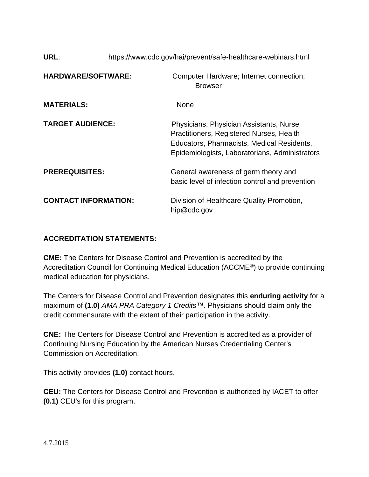| URL:                        | https://www.cdc.gov/hai/prevent/safe-healthcare-webinars.html |                                                                                                                                                                                     |
|-----------------------------|---------------------------------------------------------------|-------------------------------------------------------------------------------------------------------------------------------------------------------------------------------------|
| <b>HARDWARE/SOFTWARE:</b>   |                                                               | Computer Hardware; Internet connection;<br><b>Browser</b>                                                                                                                           |
| <b>MATERIALS:</b>           |                                                               | <b>None</b>                                                                                                                                                                         |
| <b>TARGET AUDIENCE:</b>     |                                                               | Physicians, Physician Assistants, Nurse<br>Practitioners, Registered Nurses, Health<br>Educators, Pharmacists, Medical Residents,<br>Epidemiologists, Laboratorians, Administrators |
| <b>PREREQUISITES:</b>       |                                                               | General awareness of germ theory and<br>basic level of infection control and prevention                                                                                             |
| <b>CONTACT INFORMATION:</b> |                                                               | Division of Healthcare Quality Promotion,<br>hip@cdc.gov                                                                                                                            |

### **ACCREDITATION STATEMENTS:**

**CME:** The Centers for Disease Control and Prevention is accredited by the Accreditation Council for Continuing Medical Education (ACCME®) to provide continuing medical education for physicians.

The Centers for Disease Control and Prevention designates this **enduring activity** for a maximum of **(1.0)** *AMA PRA Category 1 Credits*™. Physicians should claim only the credit commensurate with the extent of their participation in the activity.

**CNE:** The Centers for Disease Control and Prevention is accredited as a provider of Continuing Nursing Education by the American Nurses Credentialing Center's Commission on Accreditation.

This activity provides **(1.0)** contact hours.

**CEU:** The Centers for Disease Control and Prevention is authorized by IACET to offer **(0.1)** CEU's for this program.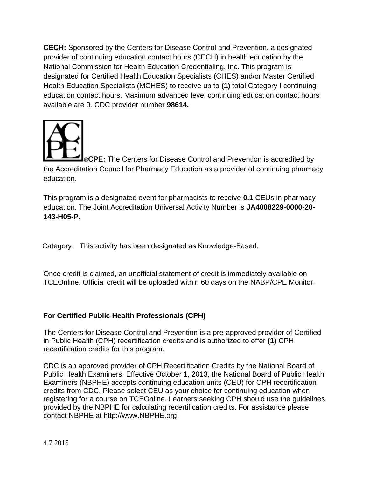**CECH:** Sponsored by the Centers for Disease Control and Prevention, a designated provider of continuing education contact hours (CECH) in health education by the National Commission for Health Education Credentialing, Inc. This program is designated for Certified Health Education Specialists (CHES) and/or Master Certified Health Education Specialists (MCHES) to receive up to **(1)** total Category I continuing education contact hours. Maximum advanced level continuing education contact hours available are 0. CDC provider number **98614.**



**CPE:** The Centers for Disease Control and Prevention is accredited by the Accreditation Council for Pharmacy Education as a provider of continuing pharmacy education.

This program is a designated event for pharmacists to receive **0.1** CEUs in pharmacy education. The Joint Accreditation Universal Activity Number is **JA4008229-0000-20- 143-H05-P**.

Category: This activity has been designated as Knowledge-Based.

Once credit is claimed, an unofficial statement of credit is immediately available on TCEOnline. Official credit will be uploaded within 60 days on the NABP/CPE Monitor.

## **For Certified Public Health Professionals (CPH)**

The Centers for Disease Control and Prevention is a pre-approved provider of Certified in Public Health (CPH) recertification credits and is authorized to offer **(1)** CPH recertification credits for this program.

CDC is an approved provider of CPH Recertification Credits by the National Board of Public Health Examiners. Effective October 1, 2013, the National Board of Public Health Examiners (NBPHE) accepts continuing education units (CEU) for CPH recertification credits from CDC. Please select CEU as your choice for continuing education when registering for a course on TCEOnline. Learners seeking CPH should use the guidelines provided by the NBPHE for calculating recertification credits. For assistance please contact NBPHE at [http://www.NBPHE.org.](http://www.nbphe.org/)